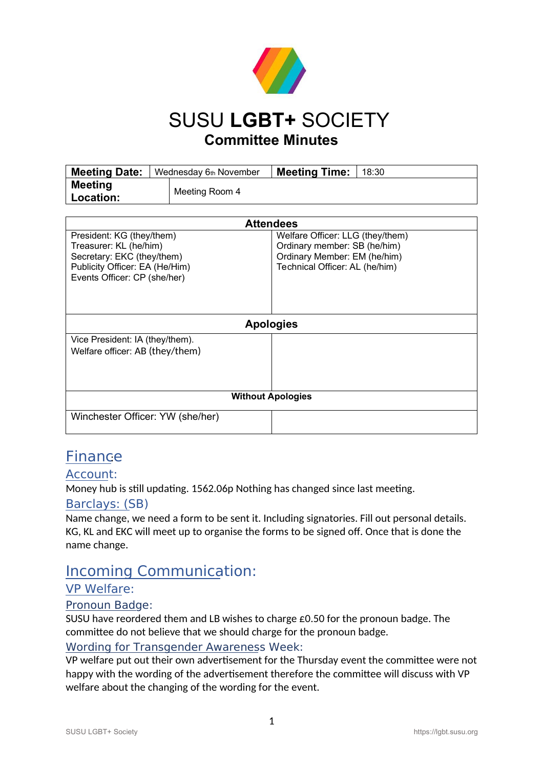

## SUSU **LGBT+** SOCIETY **Committee Minutes**

| <b>Meeting Date:</b>               | Wednesday 6th November | <b>Meeting Time:</b> | 18:30 |
|------------------------------------|------------------------|----------------------|-------|
| <b>Meeting</b><br><b>Location:</b> | Meeting Room 4         |                      |       |

| <b>Attendees</b>                                                                                                                                    |                                                                                                                                    |  |  |
|-----------------------------------------------------------------------------------------------------------------------------------------------------|------------------------------------------------------------------------------------------------------------------------------------|--|--|
| President: KG (they/them)<br>Treasurer: KL (he/him)<br>Secretary: EKC (they/them)<br>Publicity Officer: EA (He/Him)<br>Events Officer: CP (she/her) | Welfare Officer: LLG (they/them)<br>Ordinary member: SB (he/him)<br>Ordinary Member: EM (he/him)<br>Technical Officer: AL (he/him) |  |  |
| <b>Apologies</b>                                                                                                                                    |                                                                                                                                    |  |  |
| Vice President: IA (they/them).<br>Welfare officer: AB (they/them)                                                                                  |                                                                                                                                    |  |  |
|                                                                                                                                                     |                                                                                                                                    |  |  |
| <b>Without Apologies</b>                                                                                                                            |                                                                                                                                    |  |  |
| Winchester Officer: YW (she/her)                                                                                                                    |                                                                                                                                    |  |  |

## **Finance**

### Account:

Money hub is still updating. 1562.06p Nothing has changed since last meeting.

#### Barclays: (SB)

Name change, we need a form to be sent it. Including signatories. Fill out personal details. KG, KL and EKC will meet up to organise the forms to be signed off. Once that is done the name change.

## Incoming Communication:

#### VP Welfare:

#### Pronoun Badge:

SUSU have reordered them and LB wishes to charge £0.50 for the pronoun badge. The committee do not believe that we should charge for the pronoun badge.

#### Wording for Transgender Awareness Week:

VP welfare put out their own advertisement for the Thursday event the committee were not happy with the wording of the advertisement therefore the committee will discuss with VP welfare about the changing of the wording for the event.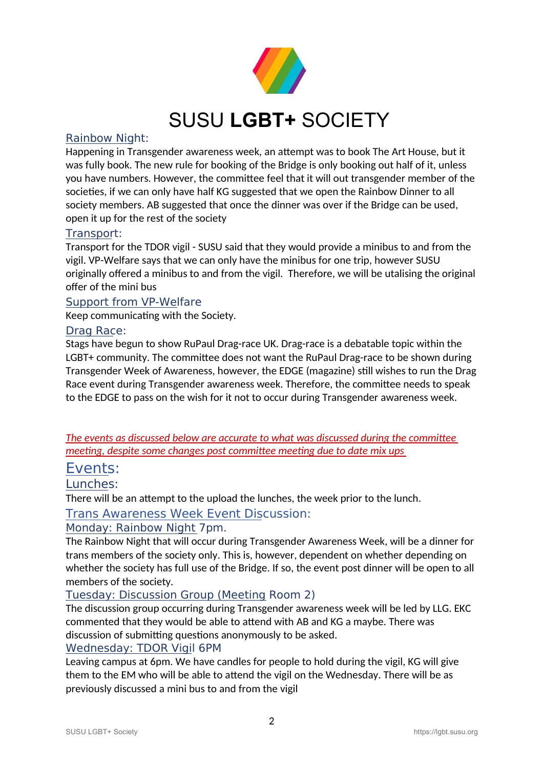

# SUSU **LGBT+** SOCIETY

#### Rainbow Night:

Happening in Transgender awareness week, an attempt was to book The Art House, but it was fully book. The new rule for booking of the Bridge is only booking out half of it, unless you have numbers. However, the committee feel that it will out transgender member of the societies, if we can only have half KG suggested that we open the Rainbow Dinner to all society members. AB suggested that once the dinner was over if the Bridge can be used, open it up for the rest of the society

#### Transport:

Transport for the TDOR vigil - SUSU said that they would provide a minibus to and from the vigil. VP-Welfare says that we can only have the minibus for one trip, however SUSU originally offered a minibus to and from the vigil. Therefore, we will be utalising the original offer of the mini bus

#### Support from VP-Welfare

Keep communicating with the Society.

#### Drag Race:

Stags have begun to show RuPaul Drag-race UK. Drag-race is a debatable topic within the LGBT+ community. The committee does not want the RuPaul Drag-race to be shown during Transgender Week of Awareness, however, the EDGE (magazine) still wishes to run the Drag Race event during Transgender awareness week. Therefore, the committee needs to speak to the EDGE to pass on the wish for it not to occur during Transgender awareness week.

*The events as discussed below are accurate to what was discussed during the committee meeting, despite some changes post committee meeting due to date mix ups* 

#### Events:

Lunches:

There will be an attempt to the upload the lunches, the week prior to the lunch.

Trans Awareness Week Event Discussion:

#### Monday: Rainbow Night 7pm.

The Rainbow Night that will occur during Transgender Awareness Week, will be a dinner for trans members of the society only. This is, however, dependent on whether depending on whether the society has full use of the Bridge. If so, the event post dinner will be open to all members of the society.

#### Tuesday: Discussion Group (Meeting Room 2)

The discussion group occurring during Transgender awareness week will be led by LLG. EKC commented that they would be able to attend with AB and KG a maybe. There was discussion of submitting questions anonymously to be asked.

#### Wednesday: TDOR Vigil 6PM

Leaving campus at 6pm. We have candles for people to hold during the vigil, KG will give them to the EM who will be able to attend the vigil on the Wednesday. There will be as previously discussed a mini bus to and from the vigil